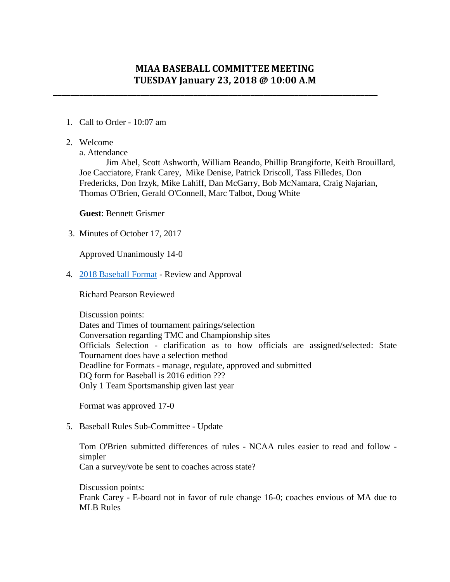## **MIAA BASEBALL COMMITTEE MEETING TUESDAY January 23, 2018 @ 10:00 A.M**

**\_\_\_\_\_\_\_\_\_\_\_\_\_\_\_\_\_\_\_\_\_\_\_\_\_\_\_\_\_\_\_\_\_\_\_\_\_\_\_\_\_\_\_\_\_\_\_\_\_\_\_\_\_\_\_\_\_\_\_\_\_\_\_\_\_\_\_\_\_\_\_\_\_\_**

- 1. Call to Order 10:07 am
- 2. Welcome

a. Attendance

Jim Abel, Scott Ashworth, William Beando, Phillip Brangiforte, Keith Brouillard, Joe Cacciatore, Frank Carey, Mike Denise, Patrick Driscoll, Tass Filledes, Don Fredericks, Don Irzyk, Mike Lahiff, Dan McGarry, Bob McNamara, Craig Najarian, Thomas O'Brien, Gerald O'Connell, Marc Talbot, Doug White

**Guest**: Bennett Grismer

3. [Minutes of October 17, 2017](http://miaa.net/gen/miaa_generated_bin/documents/basic_module/minutes_101717_FINAL.pdf)

Approved Unanimously 14-0

4. [2018 Baseball Format](http://miaa.net/gen/miaa_generated_bin/documents/basic_module/Baseball_2018_DRAFT_011918.pdf) - Review and Approval

Richard Pearson Reviewed

Discussion points: Dates and Times of tournament pairings/selection Conversation regarding TMC and Championship sites Officials Selection - clarification as to how officials are assigned/selected: State Tournament does have a selection method Deadline for Formats - manage, regulate, approved and submitted DQ form for Baseball is 2016 edition ??? Only 1 Team Sportsmanship given last year

Format was approved 17-0

5. Baseball Rules Sub-Committee - Update

Tom O'Brien submitted differences of rules - NCAA rules easier to read and follow simpler Can a survey/vote be sent to coaches across state?

Discussion points: Frank Carey - E-board not in favor of rule change 16-0; coaches envious of MA due to MLB Rules